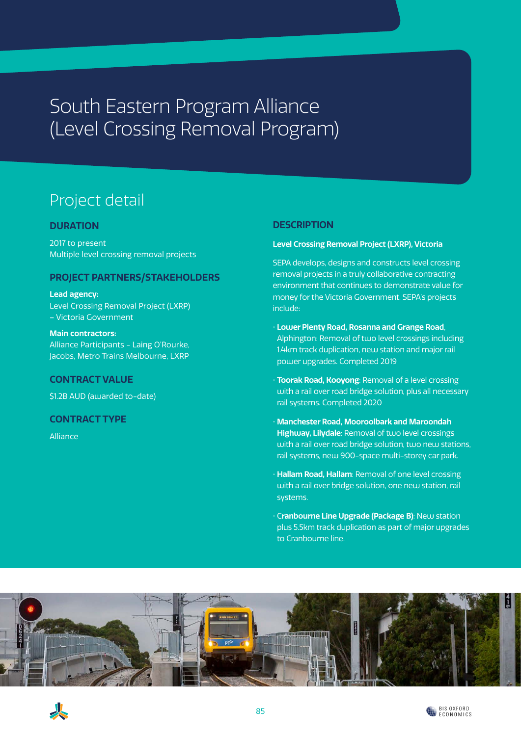# South Eastern Program Alliance (Level Crossing Removal Program)

## Project detail

### **DURATION**

2017 to present Multiple level crossing removal projects

### **PROJECT PARTNERS/STAKEHOLDERS**

**Lead agency:** Level Crossing Removal Project (LXRP) – Victoria Government

**Main contractors:** Alliance Participants - Laing O'Rourke, Jacobs, Metro Trains Melbourne, LXRP

#### **CONTRACT VALUE**

\$1.2B AUD (awarded to-date)

#### **CONTRACT TYPE**

Alliance

### **DESCRIPTION**

#### **Level Crossing Removal Project (LXRP), Victoria**

SEPA develops, designs and constructs level crossing removal projects in a truly collaborative contracting environment that continues to demonstrate value for money for the Victoria Government. SEPA's projects include:

- **Lower Plenty Road, Rosanna and Grange Road**, Alphington: Removal of two level crossings including 1.4km track duplication, new station and major rail power upgrades. Completed 2019
- **Toorak Road, Kooyong**: Removal of a level crossing with a rail over road bridge solution, plus all necessary rail systems. Completed 2020
- **Manchester Road, Mooroolbark and Maroondah Highway, Lilydale**: Removal of two level crossings with a rail over road bridge solution, two new stations, rail systems, new 900-space multi-storey car park.
- **Hallam Road, Hallam**: Removal of one level crossing with a rail over bridge solution, one new station, rail systems.
- C**ranbourne Line Upgrade (Package B)**: New station plus 5.5km track duplication as part of major upgrades to Cranbourne line.